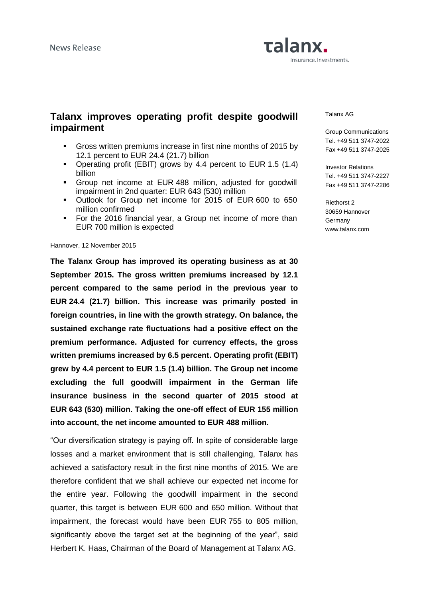

# **Talanx improves operating profit despite goodwill impairment**

- Gross written premiums increase in first nine months of 2015 by 12.1 percent to EUR 24.4 (21.7) billion
- Operating profit (EBIT) grows by 4.4 percent to EUR 1.5 (1.4) billion
- Group net income at EUR 488 million, adjusted for goodwill impairment in 2nd quarter: EUR 643 (530) million
- Outlook for Group net income for 2015 of EUR 600 to 650 million confirmed
- For the 2016 financial year, a Group net income of more than EUR 700 million is expected

### Hannover, 12 November 2015

**The Talanx Group has improved its operating business as at 30 September 2015. The gross written premiums increased by 12.1 percent compared to the same period in the previous year to EUR 24.4 (21.7) billion. This increase was primarily posted in foreign countries, in line with the growth strategy. On balance, the sustained exchange rate fluctuations had a positive effect on the premium performance. Adjusted for currency effects, the gross written premiums increased by 6.5 percent. Operating profit (EBIT) grew by 4.4 percent to EUR 1.5 (1.4) billion. The Group net income excluding the full goodwill impairment in the German life insurance business in the second quarter of 2015 stood at EUR 643 (530) million. Taking the one-off effect of EUR 155 million into account, the net income amounted to EUR 488 million.**

"Our diversification strategy is paying off. In spite of considerable large losses and a market environment that is still challenging, Talanx has achieved a satisfactory result in the first nine months of 2015. We are therefore confident that we shall achieve our expected net income for the entire year. Following the goodwill impairment in the second quarter, this target is between EUR 600 and 650 million. Without that impairment, the forecast would have been EUR 755 to 805 million, significantly above the target set at the beginning of the year", said Herbert K. Haas, Chairman of the Board of Management at Talanx AG.

#### Talanx AG

Group Communications Tel. +49 511 3747-2022 Fax +49 511 3747-2025

Investor Relations Tel. +49 511 3747-2227 Fax +49 511 3747-2286

Riethorst 2 30659 Hannover **Germany** www.talanx.com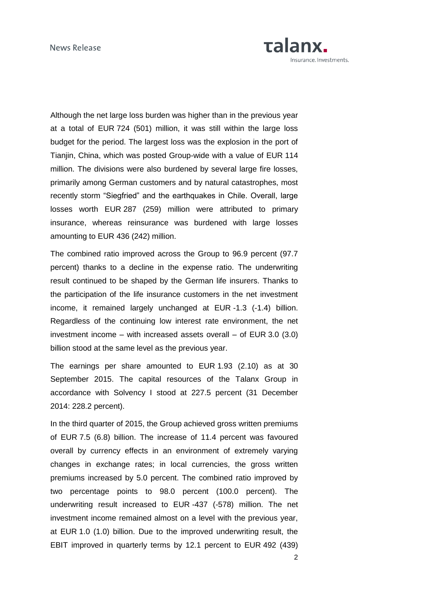

Although the net large loss burden was higher than in the previous year at a total of EUR 724 (501) million, it was still within the large loss budget for the period. The largest loss was the explosion in the port of Tianjin, China, which was posted Group-wide with a value of EUR 114 million. The divisions were also burdened by several large fire losses, primarily among German customers and by natural catastrophes, most recently storm "Siegfried" and the earthquakes in Chile. Overall, large losses worth EUR 287 (259) million were attributed to primary insurance, whereas reinsurance was burdened with large losses amounting to EUR 436 (242) million.

The combined ratio improved across the Group to 96.9 percent (97.7 percent) thanks to a decline in the expense ratio. The underwriting result continued to be shaped by the German life insurers. Thanks to the participation of the life insurance customers in the net investment income, it remained largely unchanged at EUR -1.3 (-1.4) billion. Regardless of the continuing low interest rate environment, the net investment income – with increased assets overall – of EUR 3.0 (3.0) billion stood at the same level as the previous year.

The earnings per share amounted to EUR 1.93 (2.10) as at 30 September 2015. The capital resources of the Talanx Group in accordance with Solvency I stood at 227.5 percent (31 December 2014: 228.2 percent).

In the third quarter of 2015, the Group achieved gross written premiums of EUR 7.5 (6.8) billion. The increase of 11.4 percent was favoured overall by currency effects in an environment of extremely varying changes in exchange rates; in local currencies, the gross written premiums increased by 5.0 percent. The combined ratio improved by two percentage points to 98.0 percent (100.0 percent). The underwriting result increased to EUR -437 (-578) million. The net investment income remained almost on a level with the previous year, at EUR 1.0 (1.0) billion. Due to the improved underwriting result, the EBIT improved in quarterly terms by 12.1 percent to EUR 492 (439)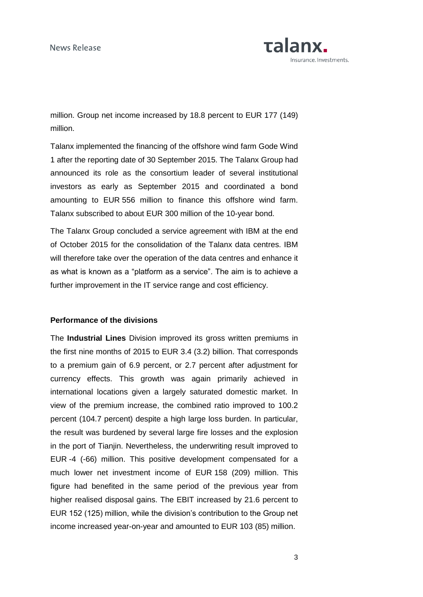

million. Group net income increased by 18.8 percent to EUR 177 (149) million.

Talanx implemented the financing of the offshore wind farm Gode Wind 1 after the reporting date of 30 September 2015. The Talanx Group had announced its role as the consortium leader of several institutional investors as early as September 2015 and coordinated a bond amounting to EUR 556 million to finance this offshore wind farm. Talanx subscribed to about EUR 300 million of the 10-year bond.

The Talanx Group concluded a service agreement with IBM at the end of October 2015 for the consolidation of the Talanx data centres. IBM will therefore take over the operation of the data centres and enhance it as what is known as a "platform as a service". The aim is to achieve a further improvement in the IT service range and cost efficiency.

### **Performance of the divisions**

The **Industrial Lines** Division improved its gross written premiums in the first nine months of 2015 to EUR 3.4 (3.2) billion. That corresponds to a premium gain of 6.9 percent, or 2.7 percent after adjustment for currency effects. This growth was again primarily achieved in international locations given a largely saturated domestic market. In view of the premium increase, the combined ratio improved to 100.2 percent (104.7 percent) despite a high large loss burden. In particular, the result was burdened by several large fire losses and the explosion in the port of Tianjin. Nevertheless, the underwriting result improved to EUR -4 (-66) million. This positive development compensated for a much lower net investment income of EUR 158 (209) million. This figure had benefited in the same period of the previous year from higher realised disposal gains. The EBIT increased by 21.6 percent to EUR 152 (125) million, while the division's contribution to the Group net income increased year-on-year and amounted to EUR 103 (85) million.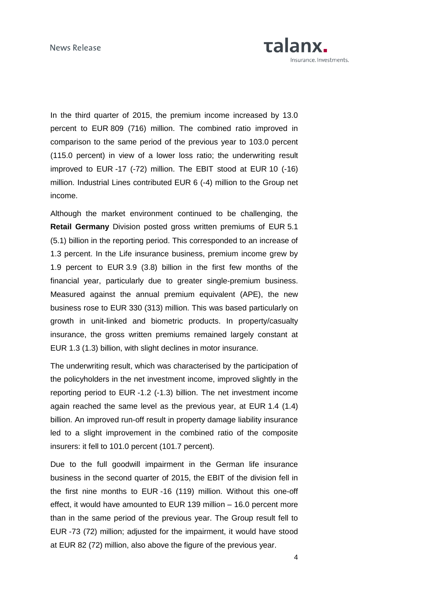

In the third quarter of 2015, the premium income increased by 13.0 percent to EUR 809 (716) million. The combined ratio improved in comparison to the same period of the previous year to 103.0 percent (115.0 percent) in view of a lower loss ratio; the underwriting result improved to EUR -17 (-72) million. The EBIT stood at EUR 10 (-16) million. Industrial Lines contributed EUR 6 (-4) million to the Group net income.

Although the market environment continued to be challenging, the **Retail Germany** Division posted gross written premiums of EUR 5.1 (5.1) billion in the reporting period. This corresponded to an increase of 1.3 percent. In the Life insurance business, premium income grew by 1.9 percent to EUR 3.9 (3.8) billion in the first few months of the financial year, particularly due to greater single-premium business. Measured against the annual premium equivalent (APE), the new business rose to EUR 330 (313) million. This was based particularly on growth in unit-linked and biometric products. In property/casualty insurance, the gross written premiums remained largely constant at EUR 1.3 (1.3) billion, with slight declines in motor insurance.

The underwriting result, which was characterised by the participation of the policyholders in the net investment income, improved slightly in the reporting period to EUR -1.2 (-1.3) billion. The net investment income again reached the same level as the previous year, at EUR 1.4 (1.4) billion. An improved run-off result in property damage liability insurance led to a slight improvement in the combined ratio of the composite insurers: it fell to 101.0 percent (101.7 percent).

Due to the full goodwill impairment in the German life insurance business in the second quarter of 2015, the EBIT of the division fell in the first nine months to EUR -16 (119) million. Without this one-off effect, it would have amounted to EUR 139 million – 16.0 percent more than in the same period of the previous year. The Group result fell to EUR -73 (72) million; adjusted for the impairment, it would have stood at EUR 82 (72) million, also above the figure of the previous year.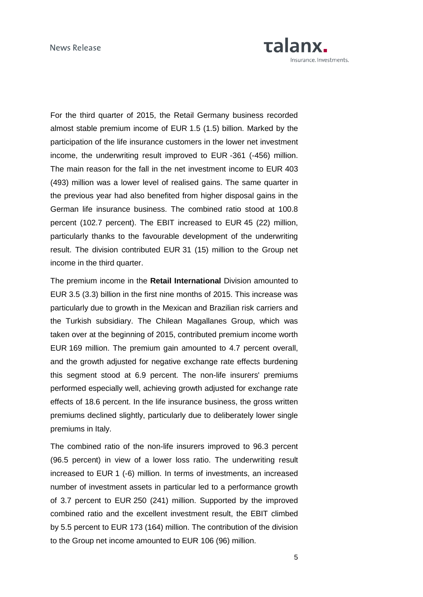

For the third quarter of 2015, the Retail Germany business recorded almost stable premium income of EUR 1.5 (1.5) billion. Marked by the participation of the life insurance customers in the lower net investment income, the underwriting result improved to EUR -361 (-456) million. The main reason for the fall in the net investment income to EUR 403 (493) million was a lower level of realised gains. The same quarter in the previous year had also benefited from higher disposal gains in the German life insurance business. The combined ratio stood at 100.8 percent (102.7 percent). The EBIT increased to EUR 45 (22) million, particularly thanks to the favourable development of the underwriting result. The division contributed EUR 31 (15) million to the Group net income in the third quarter.

The premium income in the **Retail International** Division amounted to EUR 3.5 (3.3) billion in the first nine months of 2015. This increase was particularly due to growth in the Mexican and Brazilian risk carriers and the Turkish subsidiary. The Chilean Magallanes Group, which was taken over at the beginning of 2015, contributed premium income worth EUR 169 million. The premium gain amounted to 4.7 percent overall, and the growth adjusted for negative exchange rate effects burdening this segment stood at 6.9 percent. The non-life insurers' premiums performed especially well, achieving growth adjusted for exchange rate effects of 18.6 percent. In the life insurance business, the gross written premiums declined slightly, particularly due to deliberately lower single premiums in Italy.

The combined ratio of the non-life insurers improved to 96.3 percent (96.5 percent) in view of a lower loss ratio. The underwriting result increased to EUR 1 (-6) million. In terms of investments, an increased number of investment assets in particular led to a performance growth of 3.7 percent to EUR 250 (241) million. Supported by the improved combined ratio and the excellent investment result, the EBIT climbed by 5.5 percent to EUR 173 (164) million. The contribution of the division to the Group net income amounted to EUR 106 (96) million.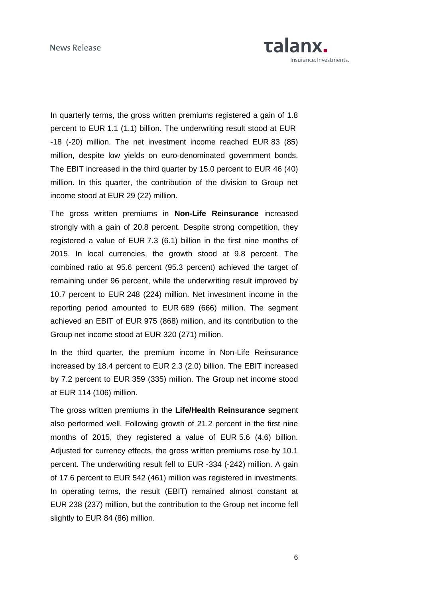

In quarterly terms, the gross written premiums registered a gain of 1.8 percent to EUR 1.1 (1.1) billion. The underwriting result stood at EUR -18 (-20) million. The net investment income reached EUR 83 (85) million, despite low yields on euro-denominated government bonds. The EBIT increased in the third quarter by 15.0 percent to EUR 46 (40) million. In this quarter, the contribution of the division to Group net income stood at EUR 29 (22) million.

The gross written premiums in **Non-Life Reinsurance** increased strongly with a gain of 20.8 percent. Despite strong competition, they registered a value of EUR 7.3 (6.1) billion in the first nine months of 2015. In local currencies, the growth stood at 9.8 percent. The combined ratio at 95.6 percent (95.3 percent) achieved the target of remaining under 96 percent, while the underwriting result improved by 10.7 percent to EUR 248 (224) million. Net investment income in the reporting period amounted to EUR 689 (666) million. The segment achieved an EBIT of EUR 975 (868) million, and its contribution to the Group net income stood at EUR 320 (271) million.

In the third quarter, the premium income in Non-Life Reinsurance increased by 18.4 percent to EUR 2.3 (2.0) billion. The EBIT increased by 7.2 percent to EUR 359 (335) million. The Group net income stood at EUR 114 (106) million.

The gross written premiums in the **Life/Health Reinsurance** segment also performed well. Following growth of 21.2 percent in the first nine months of 2015, they registered a value of EUR 5.6 (4.6) billion. Adjusted for currency effects, the gross written premiums rose by 10.1 percent. The underwriting result fell to EUR -334 (-242) million. A gain of 17.6 percent to EUR 542 (461) million was registered in investments. In operating terms, the result (EBIT) remained almost constant at EUR 238 (237) million, but the contribution to the Group net income fell slightly to EUR 84 (86) million.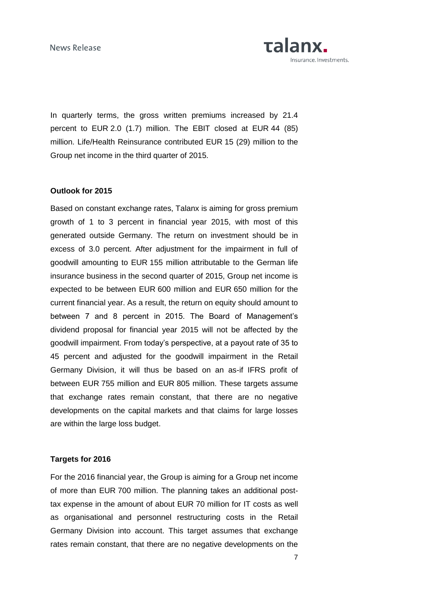News Release



In quarterly terms, the gross written premiums increased by 21.4 percent to EUR 2.0 (1.7) million. The EBIT closed at EUR 44 (85) million. Life/Health Reinsurance contributed EUR 15 (29) million to the Group net income in the third quarter of 2015.

### **Outlook for 2015**

Based on constant exchange rates, Talanx is aiming for gross premium growth of 1 to 3 percent in financial year 2015, with most of this generated outside Germany. The return on investment should be in excess of 3.0 percent. After adjustment for the impairment in full of goodwill amounting to EUR 155 million attributable to the German life insurance business in the second quarter of 2015, Group net income is expected to be between EUR 600 million and EUR 650 million for the current financial year. As a result, the return on equity should amount to between 7 and 8 percent in 2015. The Board of Management's dividend proposal for financial year 2015 will not be affected by the goodwill impairment. From today's perspective, at a payout rate of 35 to 45 percent and adjusted for the goodwill impairment in the Retail Germany Division, it will thus be based on an as-if IFRS profit of between EUR 755 million and EUR 805 million. These targets assume that exchange rates remain constant, that there are no negative developments on the capital markets and that claims for large losses are within the large loss budget.

### **Targets for 2016**

For the 2016 financial year, the Group is aiming for a Group net income of more than EUR 700 million. The planning takes an additional posttax expense in the amount of about EUR 70 million for IT costs as well as organisational and personnel restructuring costs in the Retail Germany Division into account. This target assumes that exchange rates remain constant, that there are no negative developments on the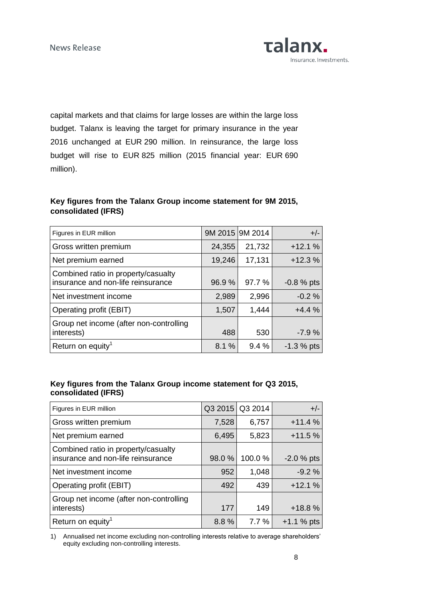capital markets and that claims for large losses are within the large loss budget. Talanx is leaving the target for primary insurance in the year 2016 unchanged at EUR 290 million. In reinsurance, the large loss budget will rise to EUR 825 million (2015 financial year: EUR 690 million).

# **Key figures from the Talanx Group income statement for 9M 2015, consolidated (IFRS)**

| Figures in EUR million                                                    |        | 9M 2015 9M 2014 | $+/-$         |
|---------------------------------------------------------------------------|--------|-----------------|---------------|
| Gross written premium                                                     | 24,355 | 21,732          | $+12.1%$      |
| Net premium earned                                                        | 19,246 | 17,131          | $+12.3%$      |
| Combined ratio in property/casualty<br>insurance and non-life reinsurance | 96.9%  | 97.7 %          | $-0.8 \%$ pts |
| Net investment income                                                     | 2,989  | 2,996           | $-0.2%$       |
| Operating profit (EBIT)                                                   | 1,507  | 1,444           | $+4.4%$       |
| Group net income (after non-controlling<br>interests)                     | 488    | 530             | $-7.9%$       |
| Return on equity <sup>1</sup>                                             | 8.1%   | 9.4%            | $-1.3 \%$ pts |

# **Key figures from the Talanx Group income statement for Q3 2015, consolidated (IFRS)**

| Figures in EUR million                                                    |        | Q3 2015 Q3 2014 | $+/-$         |
|---------------------------------------------------------------------------|--------|-----------------|---------------|
| Gross written premium                                                     | 7,528  | 6,757           | $+11.4%$      |
| Net premium earned                                                        | 6,495  | 5,823           | $+11.5%$      |
| Combined ratio in property/casualty<br>insurance and non-life reinsurance | 98.0 % | 100.0%          | $-2.0 \%$ pts |
| Net investment income                                                     | 952    | 1,048           | $-9.2%$       |
| Operating profit (EBIT)                                                   | 492    | 439             | $+12.1%$      |
| Group net income (after non-controlling<br>interests)                     | 177    | 149             | $+18.8%$      |
| Return on equity <sup>1</sup>                                             | 8.8%   | 7.7%            | $+1.1%$ pts   |

1) Annualised net income excluding non-controlling interests relative to average shareholders' equity excluding non-controlling interests.

**Talanx.** 

Insurance. Investments.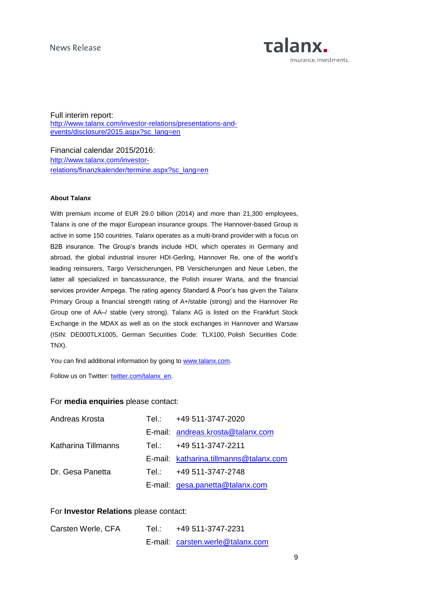

Full interim report: [http://www.talanx.com/investor-relations/presentations-and](http://www.talanx.com/investor-relations/presentations-and-events/disclosure/2015.aspx?sc_lang=en)[events/disclosure/2015.aspx?sc\\_lang=en](http://www.talanx.com/investor-relations/presentations-and-events/disclosure/2015.aspx?sc_lang=en)

Financial calendar 2015/2016: [http://www.talanx.com/investor](http://www.talanx.com/investor-relations/finanzkalender/termine.aspx?sc_lang=en)[relations/finanzkalender/termine.aspx?sc\\_lang=en](http://www.talanx.com/investor-relations/finanzkalender/termine.aspx?sc_lang=en)

### **About Talanx**

With premium income of EUR 29.0 billion (2014) and more than 21,300 employees, Talanx is one of the major European insurance groups. The Hannover-based Group is active in some 150 countries. Talanx operates as a multi-brand provider with a focus on B2B insurance. The Group's brands include HDI, which operates in Germany and abroad, the global industrial insurer HDI-Gerling, Hannover Re, one of the world's leading reinsurers, Targo Versicherungen, PB Versicherungen and Neue Leben, the latter all specialized in bancassurance, the Polish insurer Warta, and the financial services provider Ampega. The rating agency Standard & Poor's has given the Talanx Primary Group a financial strength rating of A+/stable (strong) and the Hannover Re Group one of AA–/ stable (very strong). Talanx AG is listed on the Frankfurt Stock Exchange in the MDAX as well as on the stock exchanges in Hannover and Warsaw (ISIN: DE000TLX1005, German Securities Code: TLX100, Polish Securities Code: TNX).

You can find additional information by going to [www.talanx.com.](http://www.talanx.com/?sc_lang=en)

Follow us on Twitter: [twitter.com/talanx\\_en.](https://twitter.com/talanx_en)

### For **media enquiries** please contact:

| Andreas Krosta      | Tel.: +49 511-3747-2020                |
|---------------------|----------------------------------------|
|                     | E-mail: andreas.krosta@talanx.com      |
| Katharina Tillmanns | Tel.: +49 511-3747-2211                |
|                     | E-mail: katharina.tillmanns@talanx.com |
| Dr. Gesa Panetta    | Tel.: +49 511-3747-2748                |
|                     | E-mail: gesa.panetta@talanx.com        |

## For **Investor Relations** please contact:

| Carsten Werle, CFA | Tel∴ | +49 511-3747-2231                |
|--------------------|------|----------------------------------|
|                    |      | E-mail: carsten.werle@talanx.com |